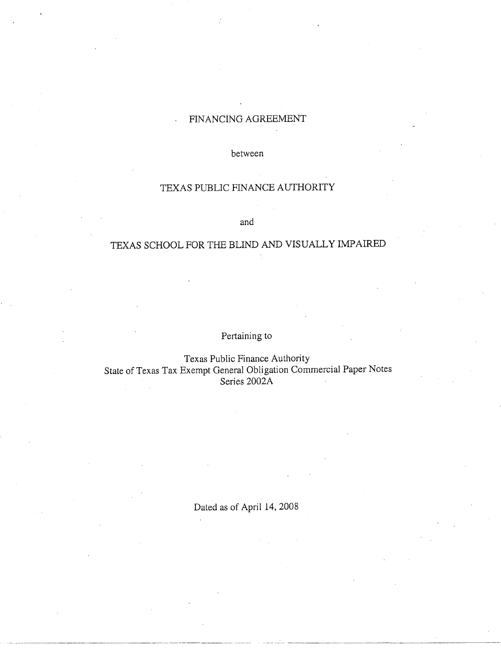# FINANCING AGREEMENT

between

## TEXAS PUBLIC FINANCE AUTHORITY

and

# TEXAS SCHOOL FOR THE BLIND AND VISUALLY IMPAIRED

Pertaining to

Texas Public Finance Authority State of Texas Tax Exempt General Obligation Commercial Paper Notes Series 2002A

Dated as of April 14, 2008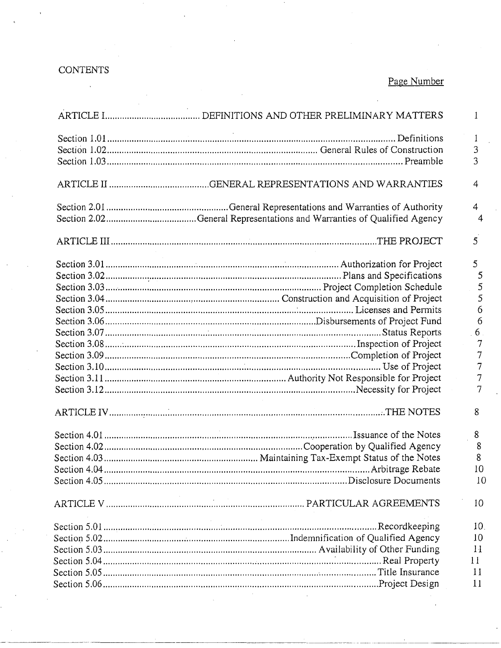# CONTENTS

 $\overline{\phantom{a}}$ 

# Page Number

| 1               |
|-----------------|
| 1               |
| 3               |
| 3               |
|                 |
| 4               |
| $\overline{4}$  |
| $\overline{4}$  |
| 5               |
| 5               |
| 5               |
| 5               |
| 5               |
| 6               |
| 6               |
| 6               |
| 7               |
| 7               |
| 7               |
| 7               |
| 7               |
| 8               |
| 8               |
| 8               |
| 8               |
| 10              |
| 10              |
| 10              |
| 10 <sub>1</sub> |
| 10              |
| 11              |
| 11              |
| 11              |
| 11              |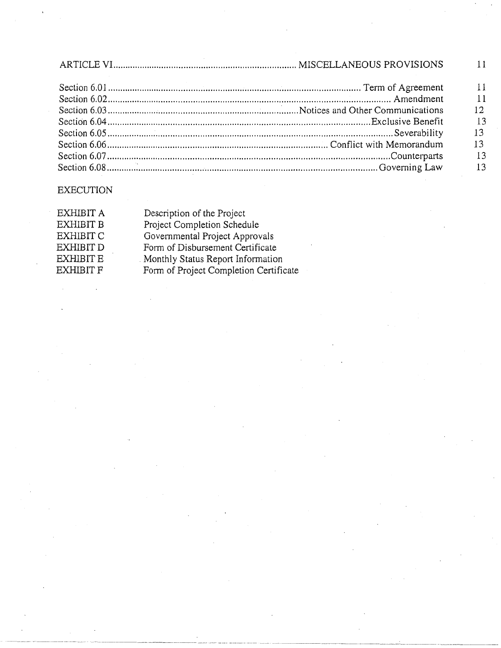|  | $\blacksquare$ 11 |
|--|-------------------|
|  | 11                |
|  | 12 <sub>2</sub>   |
|  | 13                |
|  | 13                |
|  | 13                |
|  | $\overline{13}$   |
|  | 13                |
|  |                   |

----------~- ---~------ ----- - - -- --- - - - --- - - --------------- ----- --------------------- ------------·-

# EXECUTION

| Description of the Project             |
|----------------------------------------|
| Project Completion Schedule            |
| Governmental Project Approvals         |
| Form of Disbursement Certificate       |
| Monthly Status Report Information      |
| Form of Project Completion Certificate |
|                                        |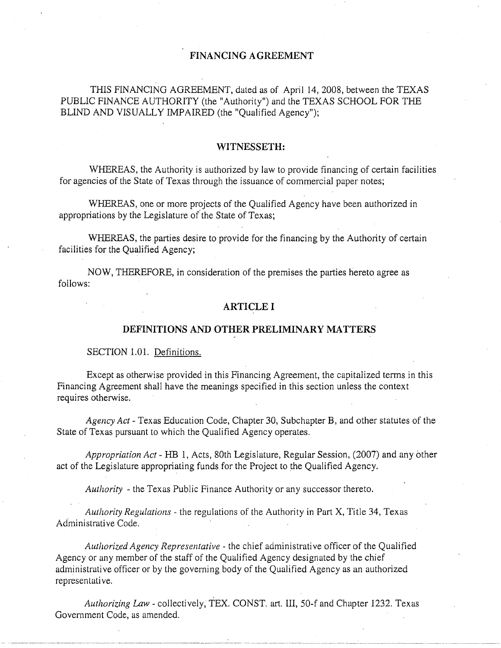## **FINANCING AGREEMENT**

THIS FINANCING AGREEMENT, dated as of April 14, 2008, between the TEXAS PUBLIC FINANCE AUTHORITY (the "Authority") and the TEXAS SCHOOL FOR THE BLIND AND VISUALLY IMPAIRED (the "Qualified Agency");

#### **WITNESSETH:**

WHEREAS, the Authority is authorized by law to provide financing of certain facilities for agencies of the State of Texas through the issuance of commercial paper notes;

WHEREAS, one or more projects of the Qualified Agency have been authorized in appropriations by the Legislature of the State of Texas;

WHEREAS, the parties desire to provide for the financing by the Authority of certain facilities for the Qualified Agency;

NOW, THEREFORE, in consideration of the premises the parties hereto agree as follows:

#### **ARTICLE I**

#### **DEFINITIONS AND OTHER PRELIMINARY MATTERS**

#### SECTION I.OI. Definitions.

Except as otherwise provided in this Financing Agreement, the capitalized terms in this Financing Agreement shall have the meanings specified in this section unless the context requires otherwise.

*Agency Act-* Texas Education Code, Chapter 30, Subchapter **B,** and other statutes of the State of Texas pursuant to which the Qualified Agency operates.

*Appropriation Act* - HB 1, Acts, 80th Legislature, Regular Session, (2007) and any other act of the Legislature appropriating funds for the Project to the Qualified Agency.

*Authority* -the Texas Public Finance Authority or any successor thereto.

*Authority Regulations-* the regulations of the Authority in Part X, Title 34, Texas Administrative Code.

*Authorized Agency Representative-* the chief administrative officer of the Qualified Agency or any member of the staff of the Qualified Agency designated by the chief administrative officer or by the governing body of the Qualified Agency as an authorized representative.

*Authorizing Law-* collectively, TEX. CONST. art. III, 50-f and Chapter 1232. Texas Government Code, as amended.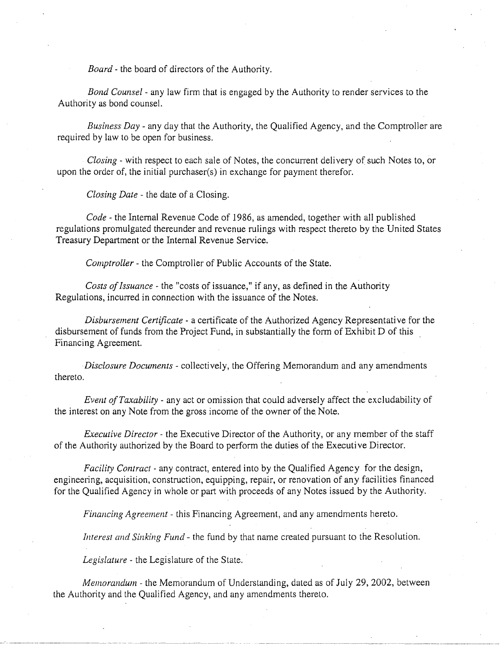*Board-* the board of directors of the Authority.

*Bond Counsel* - any law firm that is engaged by the Authority to render services to the Authority as bond counsel.

*Business Day-* any day that the Authority, the Qualified Agency, and the Comptroller are required by law to be open for business.

*Closing-* with respect to each sale of Notes, the concurrent delivery of such Notes to, or upon the order of, the initial purchaser(s) in exchange for payment therefor.

*Closing Date-* the date of a Closing.

*Code* - the Internal Revenue Code of 1986, as amended, together with all published regulations promulgated thereunder and revenue rulings with respect thereto by the United States Treasury Department or the Internal Revenue Service.

*Comptroller* - the Comptroller of Public Accounts of the State.

*Costs of Issuance-* the "costs of issuance," if any, as defined in the Authority Regulations, incurred in connection with the issuance of the Notes.

*Disbursement Certificate-* a certificate of the Authorized Agency Representative for the disbursement of funds from the Project Fund, in substantially the form of Exhibit D of this Financing Agreement.

*Disclosure Documents-* collectively, the Offering Memorandum and any amendments thereto.

*Event ofTaxability-* any act or omission that could adversely affect the excludability of the interest on any Note from the gross income of the owner of the Note.

*Executive Director-* the Executive Director of the Authority, or any member of the staff of the Authority authorized by the Board to perform the duties of the Executive Director.

*Facility Contract-* any contract, entered into by the Qualified Agency for the design, engineering, acquisition, construction, equipping, repair, or renovation of any facilities financed for the Qualified Agency in whole or part with proceeds of any Notes issued by the Authority.

*Financing Agreement* - this Financing Agreement, and any amendments hereto.

*Interest and Sinking Fund-* the fund by that name created pursuant to the Resolution.

*Legislature* - the Legislature of the State.

--------· -----·-··------- ----- --------

*Memorandum-* the Memorandum of Understanding, dated as of July 29, 2002, between the Authority and the Qualified Agency, and any amendments thereto.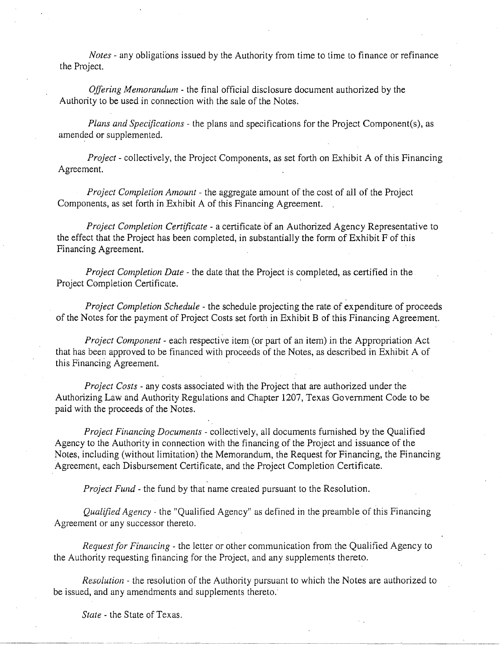*Notes-* any obligations issued by the Authority from time to time to finance or refinance the Project.

*Offering Memorandum* - the final official disclosure document authorized by the Authority to be used in connection with the sale of the Notes.

*Plans and Specifications-* the plans and specifications for the Project Component(s), as amended or supplemented.

*Project-* collectively, the Project Components, as set forth on Exhibit A of this Financing Agreement.

*Project Completion Amount* - the aggregate amount of the cost of all of the Project Components, as set forth in Exhibit A of this Financing Agreement.

*Project Completion Certificate* - a certificate of an Authorized Agency Representative to the effect that the Project has been completed, in substantially the form of Exhibit F of this Financing Agreement.

*Project Completion Date* - the date that the Project is completed, as certified in the Project Completion Certificate.

*Project Completion Schedule-* the schedule projecting the rate of expenditure of proceeds of the Notes for the payment of Project Costs set forth in Exhibit B of this Financing Agreement.

*Project Component-* each respective item (or part of an item) in the Appropriation Act that has been approved to be financed with proceeds of the Notes, as described in Exhibit A of this Financing Agreement.

*Project Costs* - any costs associated with the Project that are authorized under the Authorizing Law and Authority Regulations and Chapter 1207, Texas Government Code to be paid with the proceeds of the Notes.

*Project Financing Documents-* collectively, all documents furnished by the Qualified Agency to the Authority in connection with the financing of the Project and issuance of the Notes, including (without limitation) the Memorandum, the Request for Financing, the Financing Agreement, each Disbursement Certificate, and the Project Completion Certificate.

*Project Fund-* the fund by that name created pursuant to the Resolution.

*Qualified Agency-* the "Qualified Agency" as defined in the preamble of this Financing Agreement or any successor thereto.

*Request for Financing* - the letter or other communication from the Qualified Agency to the Authority requesting financing for the Project, and any supplements thereto.

*Resolution-* the resolution of the Authority pursuant to which the Notes are authorized to be issued, and any amendments and supplements thereto.

·~~- ·-----~~--------

*State* - the State of Texas.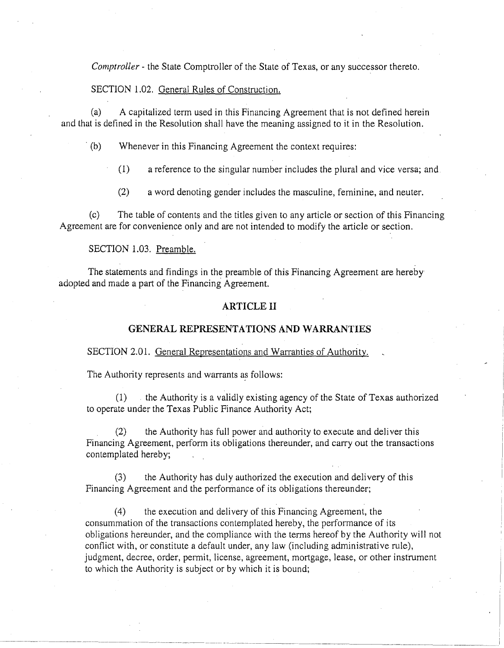*Comptroller* - the State Comptroller of the State of Texas, or any successor thereto.

#### SECTION 1.02. General Rules of Construction.

(a) A capitalized term used in this Financing Agreement that is not defined herein and that is defined in the Resolution shall have the meaning assigned to it in the Resolution.

(b) Whenever in this Financing Agreement the context requires:

(1) a reference to the singular number includes the plural and vice versa; and

(2) a word denoting gender includes the masculine, feminine, and neuter.

(c) The table of contents and the titles given to any article or section of this Financing Agreement are for convenience only and are not intended to modify the article or section.

#### SECTION 1.03. Preamble.

The statements and findings in the preamble of this Financing Agreement are hereby adopted and made a part of the Financing Agreement.

#### **ARTICLE II**

#### **GENERAL REPRESENTATIONS AND WARRANTIES**

# SECTION 2.01. General Representations and Warranties of Authority.

The Authority represents and warrants as follows:

(1) . the Authority is a validly existing agency of the State of Texas authorized to operate under the Texas Public Finance Authority Act;

(2) the Authority has full power and authority to execute and deliver this Financing Agreement, perform its obligations thereunder, and carry out the transactions contemplated hereby;

(3) the Authority has duly authorized the execution and delivery of this Financing Agreement and the performance of its obligations thereunder;

(4) the execution and delivery of this Financing Agreement, the consummation of the transactions contemplated hereby, the performance of its obligations hereunder, and the compliance with the terms hereof by the Authority will not conflict with, or constitute a default under, any law (including administrative rule), judgment, decree, order, permit, license, agreement, mortgage, lease, or other instrument to which the Authority is subject or by which it is bound;

--- ··-··-~--------~--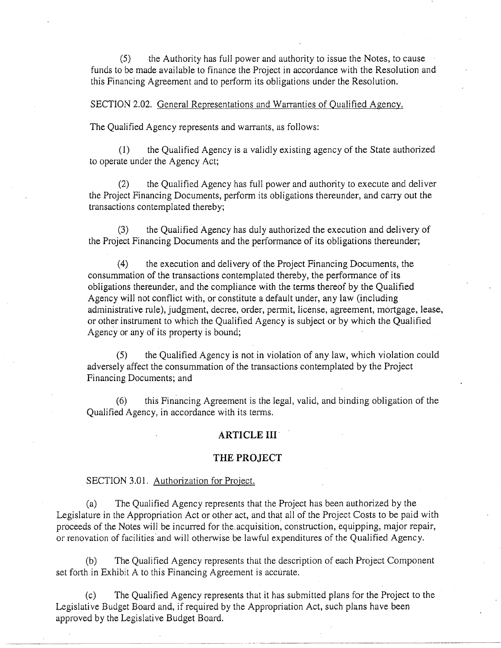(5) the Authority has full power and authority to issue the Notes, to cause funds to be made available to finance the Project in accordance with the Resolution and this Financing Agreement and to perform its obligations under the Resolution.

SECTION 2.02. General Representations and Warranties of Qualified Agency.

The Qualified Agency represents and warrants, as follows:

(1) the Qualified Agency is a validly existing agency of the State authorized to operate under the Agency Act;

(2) the Qualified Agency has full power and authority to execute and deliver the Project Financing Documents, perform its obligations thereunder, and carry out the transactions contemplated thereby;

(3) the Qualified Agency has duly authorized the execution and delivery of the Project Financing Documents and the performance of its obligations thereunder;

(4) the execution and delivery of the Project Financing Documents, the consummation of the transactions contemplated thereby, the performance of its obligations thereunder, and the compliance with the terms thereof by the Qualified Agency will not conflict with, or constitute a default under, any law (including administrative rule), judgment, decree, order, permit, license, agreement, mortgage, lease, or other instrument to which the Qualified Agency is subject or by which the Qualified Agency or any of its property is bound;

(5) the Qualified Agency is not in violation of any law, which violation could adversely affect the consummation of the transactions contemplated by the Project Financing Documents; and

(6) this Financing Agreement is the legal, valid, and binding obligation of the Qualified Agency, in accordance with its terms.

#### **ARTICLE 111·**

#### **THE PROJECT**

#### SECTION 3.01. Authorization for Project.

(a) The Qualified Agency represents that the Project has been authorized by the Legislature in the Appropriation Act or other act, and that all of the Project Costs to be paid with proceeds of the Notes will be incurred for the. acquisition, construction, equipping, major repair, or renovation of facilities and will otherwise be lawful expenditures of the Qualified Agency.

(b) The Qualified Agency represents that the description of each Project Component set forth in Exhibit A to this Financing Agreement is accurate.

(c) The Qualified Agency represents that it has submitted plans for the Project to the Legislative Budget Board and, if required by the Appropriation Act, such plans have been approved by the Legislative Budget Board. ····---- ---------~-· ·- .. -~-----.. -~------------ -----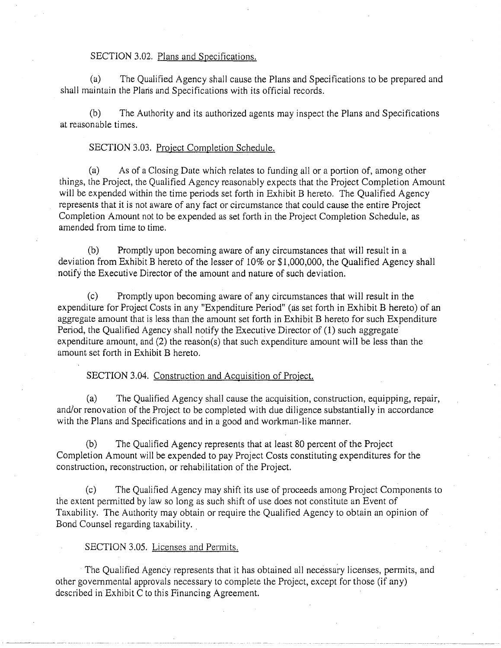#### SECTION 3.02. Plans and Specifications.

(a) The Qualified Agency shall cause the Plans and Specifications to be prepared and shall maintain the Plans and Specifications with its official records.

(b) The Authority and its authorized agents may inspect the Plans and Specifications at reasonable times.

#### SECTION 3.03. Project Completion Schedule.

(a) As of a Closing Date which relates to funding all or a portion of, among other things, the Project, the Qualified Agency reasonably expects that the Project Completion Amount will be expended within the time periods set forth in Exhibit B hereto. The Qualified Agency represents that it is not aware of any fact or circumstance that could cause the entire Project Completion Amount not to be expended as set forth in the Project Completion Schedule, as amended from time to time.

(b) Promptly upon becoming aware of any circumstances that will result in a deviation from Exhibit B hereto of the lesser of 10% or \$1,000,000, the Qualified Agency shall notify the Executive Director of the amount and nature of such deviation.

(c) Promptly upon becoming aware of any circumstances that will result in the expenditure for Project Costs in any "Expenditure Period" (as set forth in Exhibit B hereto) of an aggregate amount that is less than the amount set forth in Exhibit B hereto for such Expenditure Period, the Qualified Agency shall notify the Executive Director of (1) such aggregate expenditure amount, and (2) the reason(s) that such expenditure amount will be less than the amount set forth in Exhibit B hereto.

SECTION 3.04. Construction and Acquisition of Project.

(a) The Qualified Agency shall cause the acquisition, construction, equipping, repair, and/or renovation of the Project to be completed with due diligence substantially in accordance with the Plans and Specifications and in a good and workman-like manner.

(b) The Qualified Agency represents that at least 80 percent of the Project Completion Amount will be expended to pay Project Costs constituting expenditures for the construction, reconstruction, or rehabilitation of the Project.

(c) The Qualified Agency may shift its use of proceeds among Project Components to the extent permitted by law so long as such shift of use does not constitute an Event of Taxability. The Authority may obtain or require the Qualified Agency to obtain an opinion of Bond Counsel regarding taxability.

#### SECTION 3.05. Licenses and Permits.

The Qualified Agency represents that it has obtained all necessary licenses, permits, and other governmental approvals necessary to complete the Project, except for those (if any) described in Exhibit C to this Financing Agreement.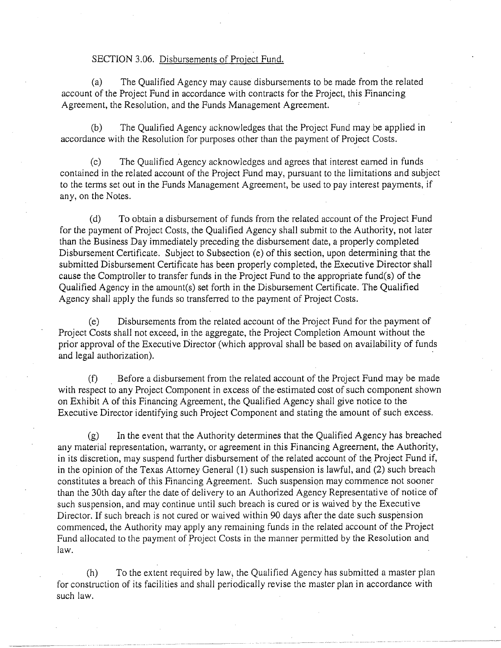### SECTION 3.06. Disbursements of Project Fund.

(a) The Qualified Agency may cause disbursements to be made from the related account of the Project Fund in accordance with contracts for the Project, this Financing Agreement, the Resolution, and the Funds Management Agreement.

(b) The Qualified Agency acknowledges that the Project Fund may be applied in accordance with the Resolution for purposes other than the payment of Project Costs.

(c) The Qualified Agency acknowledges and agrees that interest earned in funds contained in the related account of the Project Fund may, pursuant to the limitations and subject to the terms set out in the Funds Management Agreement, be used to pay interest payments, if any, on the Notes.

(d) To obtain a disbursement of funds from the related account of the Project Fund for the payment of Project Costs, the Qualified Agency shall submit to the Authority, not later than the Business Day immediately preceding the disbursement date, a properly completed Disbursement Certificate. Subject to Subsection (e) of this section, upon determining that the submitted Disbursement Certificate has been properly completed, the Executive Director shall cause the Comptroller to transfer funds in the Project Fund to the appropriate fund(s) of the Qualified Agency in the amount(s) set forth in the Disbursement Certificate. The Qualified Agency shall apply the funds so transferred to the payment of Project Costs.

(e) Disbursements from the related account of the Project Fund for the payment of Project Costs shall not exceed, in the aggregate, the Project Completion Amount without the prior approval of the Executive Director (which approval shall be based on availability of funds and legal authorization).

(f) . Before a disbursement from the related account of the Project Fund may be made with respect to any Project Component in excess of the estimated cost of such component shown on Exhibit A of this Financing Agreement, the Qualified Agency shall give notice to the Executive Director identifying such Project Component and stating the amount of such excess.

(g) In the event that the Authority determines that the Qualified Agency has breached any material representation, warranty, or agreement in this Financing Agreement, the Authority, in its discretion, may suspend further disbursement of the related account of the Project Fund if, in the opinion of the Texas Attorney General (1) such suspension is lawful, and (2) such breach constitutes a breach of this Financing Agreement. Such suspension may commence not sooner than the 30th day after the date of delivery to an Authorized Agency Representative of notice of such suspension, and may continue until such breach is cured or is waived by the Executive Director. If such breach is not cured or waived within 90 days after the date such suspension commenced, the Authority may apply any remaining funds in the related account of the Project Fund allocated to the payment of Project Costs in the manner permitted by the Resolution and law.

(h) To the extent required by law; the Qualified Agency has submitted a master plan for construction of its facilities and shall periodically revise the master plan in accordance with such law.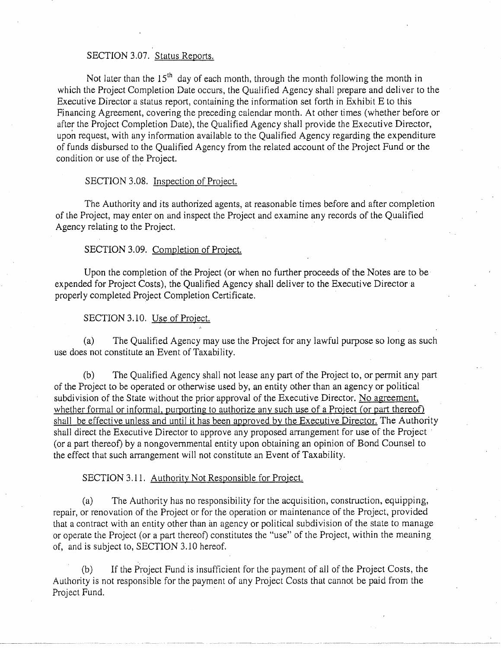#### SECTION 3.07. Status Reports.

Not later than the  $15<sup>th</sup>$  day of each month, through the month following the month in which the Project Completion Date occurs, the Qualified Agency shall prepare and deliver to the Executive Director a status report, containing the information set forth in Exhibit E to this Financing Agreement, covering the preceding calendar month. At other times (whether before or after the Project Completion Date), the Qualified Agency shall provide the Executive Director, upon request, with any information available to the Qualified Agency regarding the expenditure of funds disbursed to the Qualified Agency from the related account of the Project Fund or the condition or use of the Project.

#### SECTION 3.08. Inspection of Project.

The Authority and its authorized agents, at reasonable times before and after completion of the Project, may enter on and inspect the Project and examine any records of the Qualified Agency relating to the Project.

#### SECTION 3.09. Completion of Project.

Upon the completion of the Project (or when no further proceeds of the Notes are to be expended for Project Costs), the Qualified Agency shall deliver to the Executive Director a properly completed Project Completion Certificate.

#### SECTION 3.10. Use of Project.

(a) The Qualified Agency may use the Project for any lawful purpose so long as such use does not constitute an Event of Taxability.

(b) The Qualified Agency shall not lease any part of the Project to, or permit any part of the Project to be operated or otherwise used by, an entity other than an agency or political subdivision of the State without the prior approval of the Executive Director. No agreement, whether formal or informal, purporting to authorize any such use of a Project (or part thereof) shall be effective unless and until it has been approved by the Executive Director. The Authority shall direct the Executive Director to approve any proposed arrangement for use of the Project · (or a part thereof) by a nongovernmental entity upon obtaining an opinion of Bond Counsel to the effect that such arrangement will not constitute an Event of Taxability.

#### SECTION 3.11. Authority Not Responsible for Project.

(a) The Authority has no responsibility for the acquisition, construction, equipping, repair, or renovation of the Project or for the operation or maintenance of the Project, provided that a contract with an entity other than an agency or political subdivision of the state to manage or operate the Project (or a part thereof) constitutes the "use" of the Project, within the meaning of, and is subject to, SECTION 3.10 hereof.

(b) If the Project Fund is insufficient for the payment of all of the Project Costs, the Authority is not responsible for the payment of any Project Costs that cannot be paid from the Project Fund.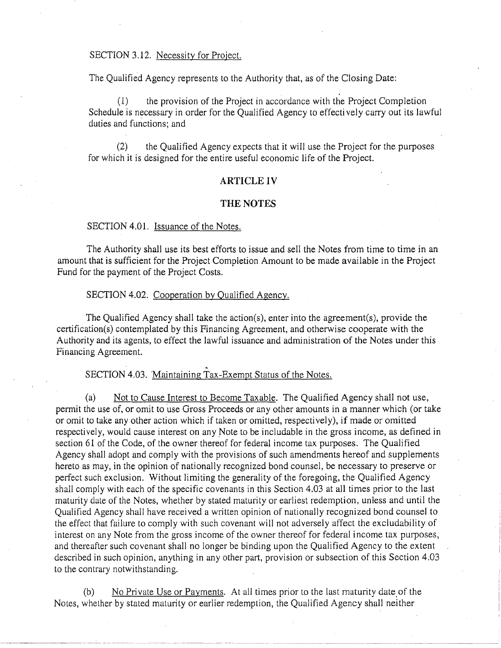#### SECTION 3.12. Necessity for Project.

The Qualified Agency represents to the Authority that, as of the Closing Date:

(l) the provision of the Project in accordance with the Project Completion Schedule is necessary in order for the Qualified Agency to effectively carry out its lawful duties and functions; and

(2) the Qualified Agency expects that it will use the Project for the purposes for which it is designed for the entire useful economic life of the Project.

#### **ARTICLE IV**

#### **THE NOTES**

#### SECTION 4.01. **Issuance of the Notes.**

The Authority shall use its best efforts to issue and sell the Notes from time to time in an amount that is sufficient for the Project Completion Amount to be made available in the Project Fund for the payment of the Project Costs.

#### SECTION 4.02. Cooperation by Qualified Agency.

The Qualified Agency shall take the action(s), enter into the agreement(s), provide the certification(s) contemplated by this Financing Agreement, and otherwise cooperate with the Authority and its agents, to effect the lawful issuance and administration of the Notes under this Financing Agreement.

SECTION 4.03. Maintaining Tax-Exempt Status of the Notes.

(a) Not to Cause Interest to Become Taxable. The Qualified Agency shall not use, permit the use of, or omit to use Gross Proceeds or any other amounts in a manner which (or take or omit to take any other action which if taken or omitted, respectively), if made or omitted respectively, would cause interest on any Note to be includable in the gross income, as defined in section 61 of the Code, of the owner thereof for federal income tax purposes. The Qualified Agency shall adopt and comply with the provisions of such amendments hereof and supplements hereto as may, in the opinion of nationally recognized bond counsel, be necessary to preserve or perfect such exclusion. Without limiting the generality of the foregoing, the Qualified Agency shall comply with each of the specific covenants in this Section 4.03 at all times prior to the last maturity date of the Notes, whether by stated maturity or earliest redemption, unless and until the Qualified Agency shall have received a written opinion of nationally recognized bond counsel to the effect that failure to comply with such covenant will not adversely affect the excludability of interest on any Note from the gross income of the owner thereof for federal income tax purposes, and thereafter such covenant shall no longer be binding upon the Qualified Agency to the extent described in such opinion, anything in any other part, provision or subsection of this Section 4.03 to the contrary notwithstanding.

(b) No Private Use or Payments. At all times prior to the last maturity date of the Notes, whether by stated maturity or earlier redemption, the Qualified Agency shall neither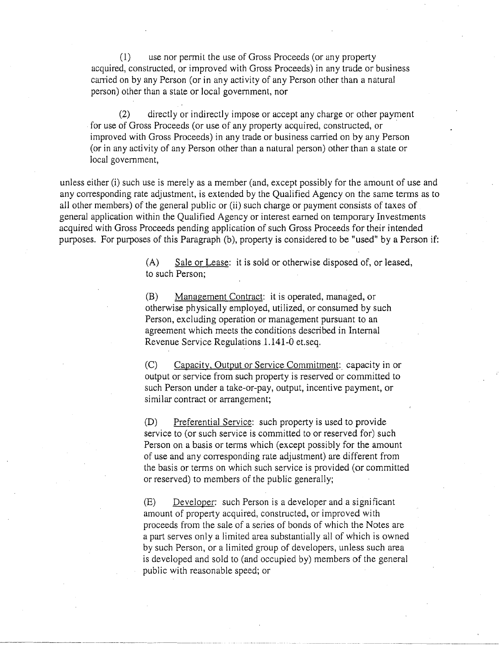(1) use nor permit the use of Gross Proceeds (or any property acquired, constructed, or improved with Gross Proceeds) in any trade or business carried on by any Person (or in any activity of any Person other than a natural person) other than a state or local government, nor

(2) directly or indirectly impose or accept any charge or other payment for use of Gross Proceeds (or use of any property acquired, constructed, or improved with Gross Proceeds) in any trade or business carried on by any Person (or in any activity of any Person other than a natural person) other than a state or local govemment,

unless either (i) such use is merely as a member (and, except possibly for the amount of use and any corresponding rate adjustment, is extended by the Qualified Agency on the same terms as to all other members) of the general public or (ii) such charge or payment consists of taxes of general application within the Qualified Agency or interest earned on temporary Investments acquired with Gross Proceeds pending application of such Gross Proceeds for their intended purposes. For purposes of this Paragraph (b), property is considered to be "used" by a Person if:

> (A) Sale or Lease: it is sold or otherwise disposed of, or leased, to such Person;

(B) Management Contract: it is operated, managed, or otherwise physically employed, utilized, or consumed by such Person, excluding operation or management pursuant to an agreement which meets the conditions described in Internal Revenue Service Regulations 1.141-0 et.seq.

(C) Capacity, Output or Service Commitment: capacity in or output or service from such property is reserved or committed to such Person under a take-or-pay, output, incentive payment, or similar contract or arrangement;

(D) Preferential Service: such property is used to provide service to (or such service is committed to or reserved for) such Person on a basis or terms which (except possibly for the amount of use and any corresponding rate adjustment) are different from the basis or terms on which such service is provided (or committed or reserved) to members of the public generally;

(E) Developer: such Person is a developer and a significant amount of property acquired, constructed, or improved with proceeds from the sale of a series of bonds of which the Notes are a part serves only a limited area substantially all of which is owned by such Person, or a limited group of developers, unless such area is developed and sold to (and occupied by) members of the general public with reasonable speed; or

---------- --- ·--- -------------- -------------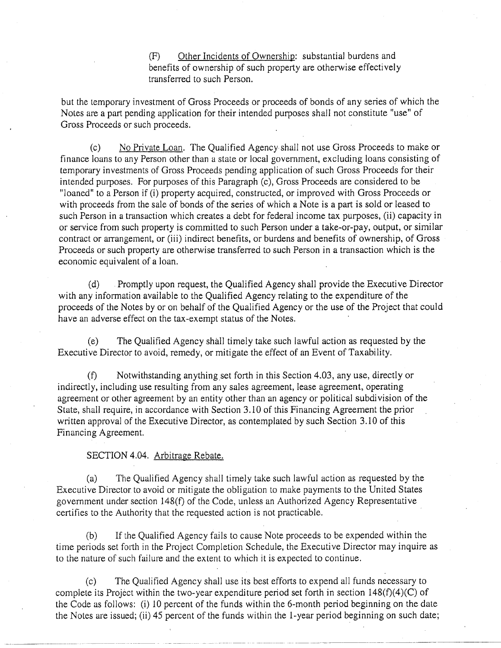(F) Other Incidents of Ownership: substantial burdens and benefits of ownership of such property are otherwise effectively transferred to such Person.

but the temporary investment of Gross Proceeds or proceeds of bonds of any series of which the Notes are a part pending application for their intended purposes shall not constitute "use" of Gross Proceeds or such proceeds.

(c) No Private Loan. The Qualified Agency shall not use Gross Proceeds to make or finance loans to any Person other than a state or local government, excluding loans consisting of temporary investments of Gross Proceeds pending application of such Gross Proceeds for their intended purposes. For purposes of this Paragraph (c), Gross Proceeds are considered to be "loaned" to a Person if (i) property acquired, constructed, or improved with Gross Proceeds or with proceeds from the sale of bonds of the series of which a Note is a part is sold or leased to such Person in a transaction which creates a debt for federal income tax purposes, (ii) capacity in or service from such property is committed to such Person under a take-or-pay, output, or similar contract or arrangement, or (iii) indirect benefits, or burdens and benefits of ownership, of Gross Proceeds or such property are otherwise transferred to such Person in a transaction which is the economic equivalent of a loan.

(d) . Promptly upon request, the Qualified Agency shall provide the Executive Director with any information available to the Qualified Agency relating to the expenditure of the proceeds of the Notes by or on behalf of the Qualified Agency or the use of the Project that could have an adverse effect on the tax-exempt status of the Notes.

(e) The Qualified Agency shall timely take such lawful action as requested by the Executive Director to avoid, remedy, or mitigate the effect of an Event of Taxability.

 $(f)$  Notwithstanding anything set forth in this Section 4.03, any use, directly or indirectly, including use resulting from any sales agreement, lease agreement, operating agreement or other agreement by an entity other than an agency or political subdivision of the State, shall require, in accordance with Section 3.10 of this Financing Agreement the prior written approval of the Executive Director, as contemplated by such Section 3.10 of this Financing Agreement.

#### SECTION 4.04. Arbitrage Rebate.

~~-------------

(a) The Qualified Agency shall timely take such lawful action as requested by the Executive Director to avoid or mitigate the obligation to make payments to the United States govemment under section 148(f) of the Code, unless an Authorized Agency Representative certifies to the Authority that the requested action is not practicable.

(b) If the Qualified Agency fails to cause Note proceeds to be expended within the time periods set forth in the Project Completion Schedule, the Executive Director may inquire as to the nature of such failure and the extent to which it is expected to continue.

(c) The Qualified Agency shall use its best eff01ts to expend all funds necessary to complete its Project within the two-year expenditure period set forth in section 148(f)(4)(C) of the Code as follows: (i) 10 percent of the funds within the 6-month period beginning on the date the Notes are issued; (ii) 45 percent of the funds within the 1-year period beginning on such date;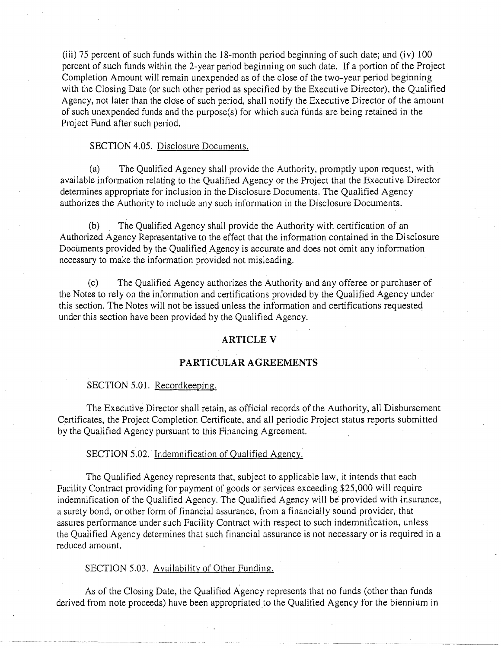(iii) 75 percent of such funds within the 18-month period beginning of such date; and (iv) 100 percent of such funds within the 2-year period beginning on such date. If a portion of the Project Completion Amount will remain unexpended as of the close of the two-year period beginning with the Closing Date (or such other period as specified by the Executive Director), the Qualified Agency, not later than the close of such period, shall notify the Executive Director of the amount of such unexpended funds and the purpose(s) for which such funds are being retained in the Project Fund after such period.

#### SECTION 4.05. Disclosure Documents.

(a) The Qualified Agency shall provide the Authority, promptly upon request, with available information relating to the Qualified Agency or the Project that the Executive Director determines appropriate for inclusion in the Disclosure Documents. The Qualified Agency authorizes the Authority to include any such information in the Disclosure Documents.

(b) . The Qualified Agency shall provide the Authority with certification of an Authorized Agency Representative to the effect that the information contained in the Disclosure Documents provided by the Qualified Agency is accurate and does not omit any information necessary to make the information provided not misleading.

(c) The Qualified Agency authorizes the Authority and any offeree or purchaser of the Notes to rely on the information and certifications provided by the Qualified Agency under this section. The Notes will not be issued unless the information and certifications requested under this section have been provided by the Qualified Agency.

#### **ARTICLE V**

#### **PARTICULAR AGREEMENTS**

#### SECTION 5.01. Recordkeeping.

The Executive Director shall retain, as official records of the Authority, all Disbursement Certificates, the Project Completion Certificate, and all periodic Project status reports submitted by the Qualified Agency pursuant to this Financing Agreement. ·

### SECTION 5.02. Indemnification of Qualified Agency.

The Qualified Agency represents that, subject to applicable law, it intends that each Facility Contract providing for payment of goods or services exceeding \$25,000 will require indemnification of the Qualified Agency. The Qualified Agency will be provided with insurance, a surety bond, or other form of financial assurance, from a financially sound provider, that assures performance under such Facility Contract with respect to such indemnification, unless the Qualified Agency determines that such financial assurance is not necessary or is required in a reduced amount.

#### SECTION 5.03. Availability of Other Funding.

As of the Closing Date, the Qualified Agency represents that no funds (other than funds derived from note proceeds) have been appropriated to the Qualified Agency for the biennium in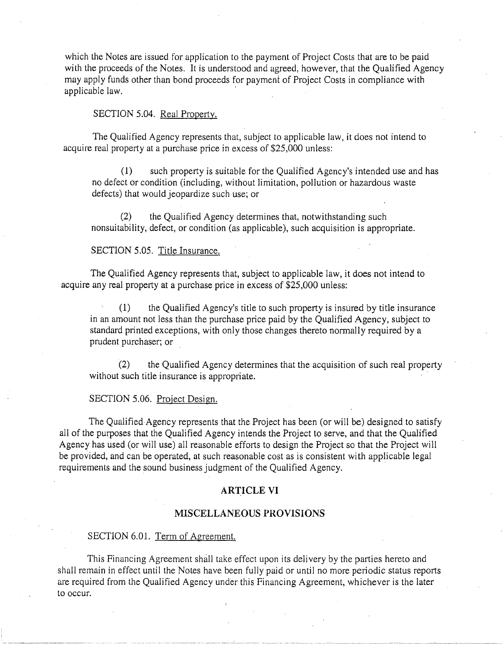which the Notes are issued for application to the payment of Project Costs that are to be paid with the proceeds of the Notes. It is understood and agreed, however, that the Qualified Agency may apply funds other than bond proceeds for payment of Project Costs in compliance with applicable law.

## SECTION 5.04. Real Property.

The Qualified Agency represents that, subject to applicable law, it does not intend to acquire real property at a purchase price in excess of \$25,000 unless:

(1) such property is suitable for the Qualified Agency's intended use and has no defect or condition (including, without limitation, pollution or hazardous waste defects) that would jeopardize such use; or

(2) the Qualified Agency determines that, notwithstanding such nonsuitability, defect, or condition (as applicable), such acquisition is appropriate.

### SECTION 5.05. Title Insurance.

The Qualified Agency represents that, subject to applicable law, it does not intend to acquire any real property at a purchase price in excess of \$25,000 unless:

(1) the Qualified Agency's title to such property is insured by title insurance in an amount not less than the purchase price paid by the Qualified Agency, subject to standard printed exceptions, with only those changes thereto normally required by a prudent purchaser; or

(2) the Qualified Agency determines that the acquisition of such real property without such title insurance is appropriate.

#### SECTION 5.06. Project Design.

The Qualified Agency represents that the Project has been (or will be) designed to satisfy all of the purposes that the Qualified Agency intends the Project to serve, and that the Qualified Agency has used (or will use) all reasonable efforts to design the Project so that the Project will be provided, and can be operated, at such reasonable cost as is consistent with applicable legal requirements and the sound business judgment of the Qualified Agency.

#### **ARTICLE VI**

#### **MISCELLANEOUS PROVISIONS**

#### SECTION 6.01. Term of Agreement.

This Financing Agreement shall take effect upon its delivery by the parties hereto and shall remain in effect until the Notes have been fully paid or until no more periodic status reports are required from the Qualified Agency under this Financing Agreement, whichever is the later to occur.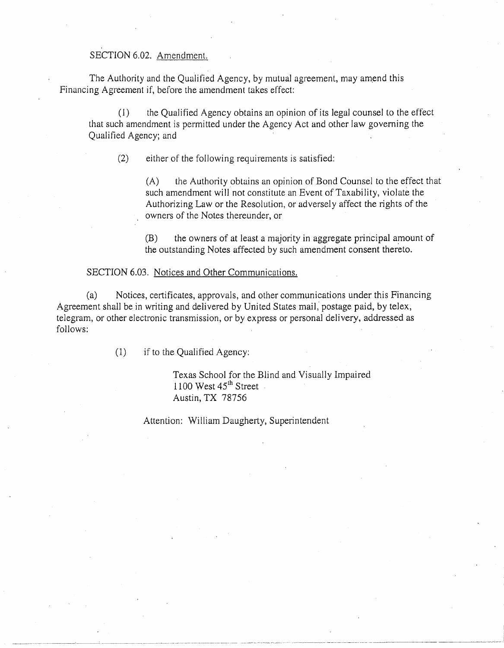# SECTION 6.02. Amendment.

The Authority and the Qualified Agency, by mutual agreement, may amend this Financing Agreement if, before the amendment takes effect:

(1) the Qualified Agency obtains an opinion of its legal counsel to the effect that such amendment is permitted under the Agency Act and other law governing the Qualified Agency; and

(2) either of the following requirements is satisfied:

(A) the Authority obtains an opinion of Bond Counsel to the effect that such amendment will not constitute an Event of Taxability, violate the Authorizing Law or the Resolution, or adversely affect the rights of the owners of the Notes thereunder, or

(B) the owners of at least a majority in aggregate principal amount of the outstanding Notes affected by such amendment consent thereto.

#### SECTION 6.03. Notices and Other Communications.

(a) Notices, certificates, approvals, and other communications under this Financing Agreement shall be in writing and delivered by United States mail, postage paid, by telex, telegram, or other electronic transmission, or by express or personal delivery, addressed as follows:

(1) if to the Qualified Agency:

~--.. --.. ~-·-·-- .. -·-- .. -----·------··--·-.. ··-- \_\_\_\_\_\_\_\_ , \_\_\_\_ ,

Texas School for the Blind and Visually Impaired  $1100$  West  $45<sup>th</sup>$  Street Austin, TX 78756

Attention: William Daugherty, Superintendent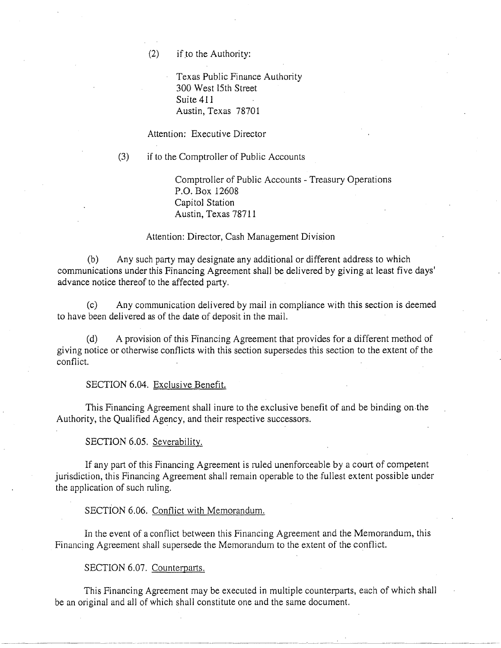$(2)$  if to the Authority:

Texas Public Finance Authority 300 West 15th Street Suite 411 Austin, Texas 78701

Attention: Executive Director

(3) if to the Comptroller of Public Accounts

Comptroller of Public Accounts - Treasury Operations P.O. Box 12608 Capitol Station Austin, Texas 78711

#### Attention: Director, Cash Management Division

(b) Any such party may designate any additional or different address to which communications under this Financing Agreement shall be delivered by giving at least five days' advance notice thereof to the affected party.

(c) Any communication delivered by mail in compliance with this section is deemed to have been delivered as of the date of deposit in the mail.

(d) A provision of this Financing Agreement that provides for a different method of giving notice or otherwise conflicts with this section supersedes this section to the extent of the conflict.

#### SECTION 6.04. Exclusive Benefit.

This Financing Agreement shall inure to the exclusive benefit of and be binding on.the Authority, the Qualified Agency, and their respective successors.

SECTION 6.05. Severability.

If any part of this Financing Agreement is ruled unenforceable by a court of competent jurisdiction, this Financing Agreement shall remain operable to the fullest extent possible under the application of such ruling.

SECTION 6.06. Conflict with Memorandum.

In the event of a conflict between this Financing Agreement and the Memorandum, this Financing Agreement shall supersede the Memorandum to the extent of the conflict.

SECTION 6.07. Counterparts.

--~--·~---------~-·---·-----~- ... ---~~---- ........ ----~--------·--- -~--

This Financing Agreement may be executed in multiple counterparts, each of which shall be an original and all of which shall constitute one and the same document.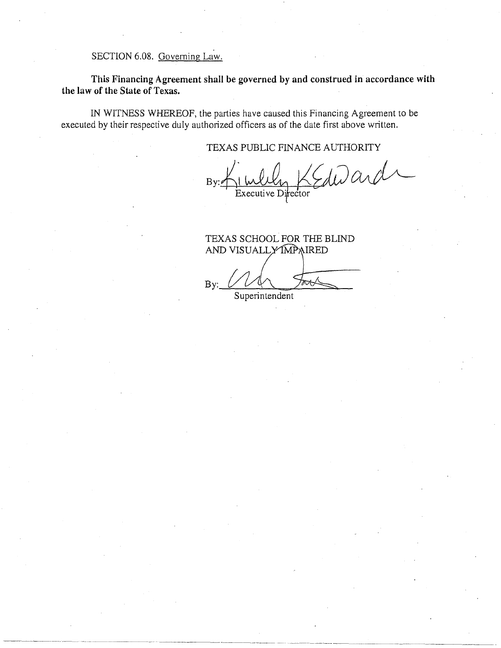SECTION 6.08. Governing Law.

This Financing Agreement shall be governed by and construed in accordance with the law of the State of Texas.

IN WITNESS WHEREOF, the parties have caused this Financing Agreement to be executed by their respective duly authorized officers as of the date first above written.

TEXAS PUBLIC FINANCE AUTHORITY

Edward By: Executive Director

 $~\cdot$   $~\cdot$   $~\cdot$   $~\cdot$   $~\cdot$   $~\cdot$   $~\cdot$   $~\cdot$   $~\cdot$   $~\cdot$   $~\cdot$   $~\cdot$   $~\cdot$   $~\cdot$   $~\cdot$   $~\cdot$   $~\cdot$   $~\cdot$   $~\cdot$   $~\cdot$   $~\cdot$   $~\cdot$   $~\cdot$   $~\cdot$   $~\cdot$   $~\cdot$   $~\cdot$   $~\cdot$   $~\cdot$   $~\cdot$   $~\cdot$   $~\cdot$   $~\cdot$   $~\cdot$   $~\cdot$   $~\cdot$   $~\cdot$ 

TEXAS SCHOOL FOR THE BLIND AND VISUALLY MPAIRED

By:

Superintendent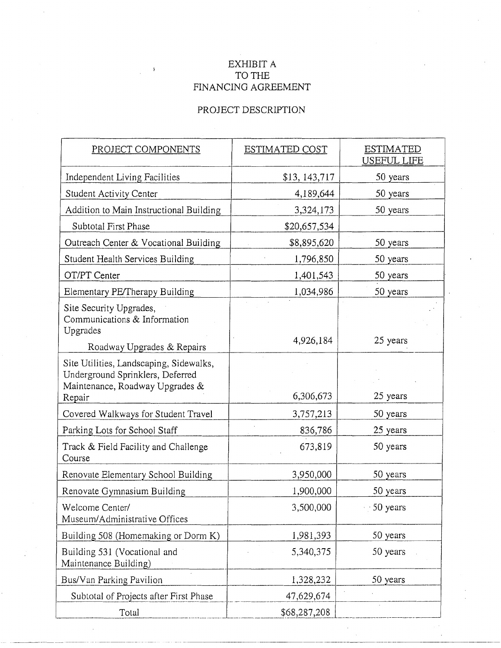# EXHIBIT A TO THE FINANCING AGREEMENT

# PROJECT DESCRIPTION

| PROJECT COMPONENTS                                                                                             | ESTIMATED COST | <b>ESTIMATED</b><br>USEFUL LIFE |
|----------------------------------------------------------------------------------------------------------------|----------------|---------------------------------|
| Independent Living Facilities                                                                                  | \$13, 143, 717 | 50 years                        |
| <b>Student Activity Center</b>                                                                                 | 4,189,644      | 50 years                        |
| Addition to Main Instructional Building                                                                        | 3,324,173      | 50 years                        |
| Subtotal First Phase                                                                                           | \$20,657,534   |                                 |
| Outreach Center & Vocational Building                                                                          | \$8,895,620    | 50 years                        |
| Student Health Services Building                                                                               | 1,796,850      | 50 years                        |
| OT/PT Center                                                                                                   | 1,401,543      | 50 years                        |
| Elementary PE/Therapy Building                                                                                 | 1,034,986      | 50 years                        |
| Site Security Upgrades,<br>Communications & Information<br>Upgrades                                            | 4,926,184      | 25 years                        |
| Roadway Upgrades & Repairs                                                                                     |                |                                 |
| Site Utilities, Landscaping, Sidewalks,<br>Underground Sprinklers, Deferred<br>Maintenance, Roadway Upgrades & |                |                                 |
| Repair                                                                                                         | 6,306,673      | 25 years                        |
| Covered Walkways for Student Travel                                                                            | 3,757,213      | 50 years                        |
| Parking Lots for School Staff                                                                                  | 836,786        | 25 years                        |
| Track & Field Facility and Challenge<br>Course                                                                 | 673,819        | 50 years                        |
| Renovate Elementary School Building                                                                            | 3,950,000      | 50 years                        |
| Renovate Gymnasium Building                                                                                    | 1,900,000      | 50 years                        |
| Welcome Center/<br>Museum/Administrative Offices                                                               | 3,500,000      | 50 years                        |
| Building 508 (Homemaking or Dorm K)                                                                            | 1,981,393      | 50 years                        |
| Building 531 (Vocational and<br>Maintenance Building)                                                          | 5,340,375      | 50 years                        |
| Bus/Van Parking Pavilion                                                                                       | 1,328,232      | 50 years                        |
| Subtotal of Projects after First Phase                                                                         | 47,629,674     |                                 |
| Total                                                                                                          | \$68,287,208   |                                 |

- -·---------------·-·-··------------------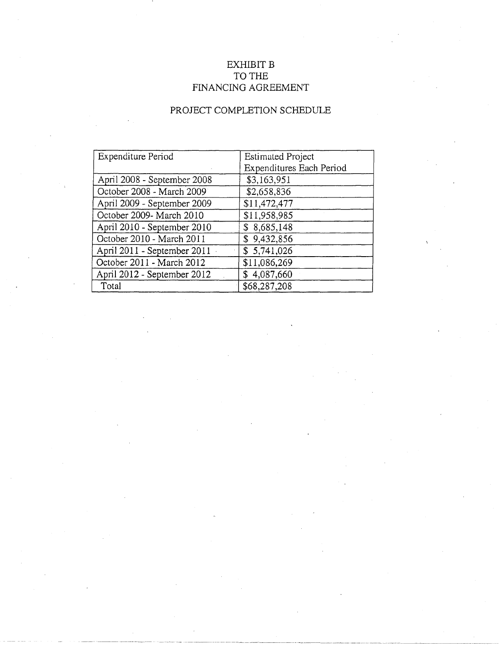# EXHIBIT B TO THE FINANCING AGREEMENT

# PROJECT COMPLETION SCHEDULE

| Expenditure Period          | <b>Estimated Project</b> |
|-----------------------------|--------------------------|
|                             | Expenditures Each Period |
| April 2008 - September 2008 | \$3,163,951              |
| October 2008 - March 2009   | \$2,658,836              |
| April 2009 - September 2009 | \$11,472,477             |
| October 2009- March 2010    | \$11,958,985             |
| April 2010 - September 2010 | \$8,685,148              |
| October 2010 - March 2011   | \$9,432,856              |
| April 2011 - September 2011 | \$5,741,026              |
| October 2011 - March 2012   | \$11,086,269             |
| April 2012 - September 2012 | \$4,087,660              |
| Total                       | \$68,287,208             |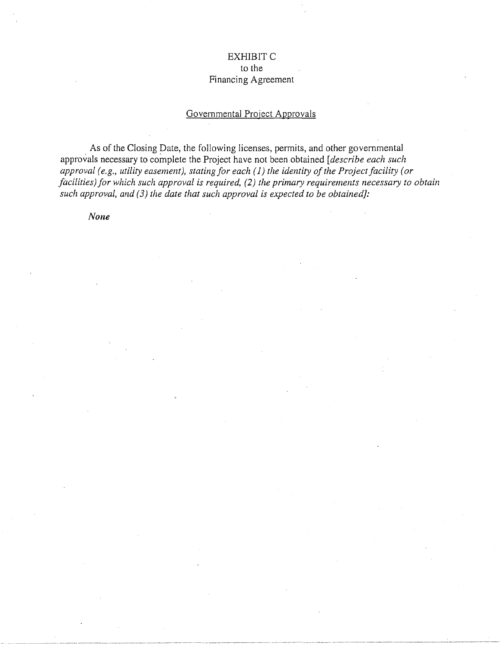# EXHIBIT C

## to the Financing Agreement

# Governmental Project Approvals

As of the Closing Date, the following licenses, permits, and other governmental approvals necessary to complete the Project have not been obtained *[describe each such approval (e.g., utility easement), stating for each ( 1) the identity of the Project facility (or facilities) for which such approval is required, (2) the primary requirements necessary to obtain such approval, and (3) the date that such approval is expected to be obtained]:* 

*None*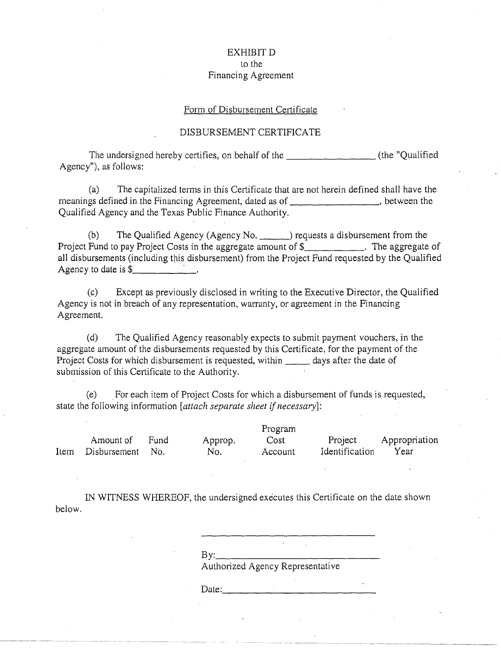## EXHIBIT D to the Financing Agreement

#### Form of Disbursement Certificate

#### DISBURSEMENT CERTIFICATE

The undersigned hereby certifies, on behalf of the \_\_\_\_\_\_\_\_\_\_\_\_\_\_\_\_\_\_\_\_(the "Qualified Agency"), as follows:

(a) The capitalized terms in this Certificate that are not herein defined shall have the meanings defined in the Financing Agreement, dated as of  $\blacksquare$ , between the Qualified Agency and the Texas Public Finance Authority.

(b) The Qualified Agency (Agency No.  $\qquad$ ) requests a disbursement from the Project Fund to pay Project Costs in the aggregate amount of  $\hat{\S}$  . The aggregate of all disbursements (including this disbursement) from the Project Fund requested by the Qualified Agency to date is  $\frac{1}{2}$   $\frac{1}{2}$ 

(c) Except as previously disclosed in writing to the Executive Director, the Qualified Agency is not in breach of any representation, warranty, or agreement in the Financing Agreement.

(d) The Qualified Agency reasonably expects to submit payment vouchers, in the aggregate amount of the disbursements requested by this Certificate, for the payment of the Project Costs for which disbursement is requested, within days after the date of submission of this Certificate to the Authority.

(e) . For each item of Project Costs for which a disbursement of funds is requested, state the following information *[attach separate sheet* if *necessary]:* 

Item Disbursement No. Amount of Fund Approp. No. Program Cost Account Project Identification Appropriation Year

IN WITNESS WHEREOF, the undersigned executes this Certificate on the date shown below.

> $\mathsf{By:}\qquad\qquad$ Authorized Agency Representative

Date: \_\_\_\_\_\_\_\_\_\_\_\_\_ \_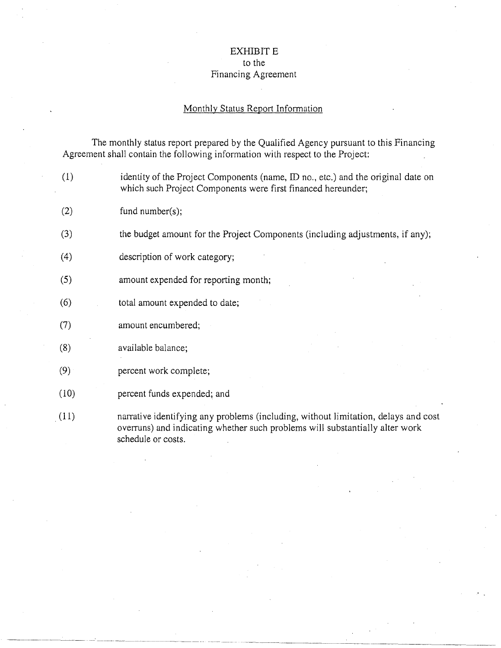# EXHIBIT E to the Financing Agreement

### Monthly Status Report Information

The monthly status report prepared by the Qualified Agency pursuant to this Financing Agreement shall contain the following information with respect to the Project:

- (1) identity of the Project Components (name, ID no., etc.) and the original date on which such Project Components were first financed hereunder;
- (2) fund number(s);
- (3) the budget amount for the Project Components (including adjustments, if any);
- (4) description of work category;
- (5) amount expended for reporting month;
- (6) total amount expended to date;
- (7) amount encumbered;
- (8) available balance;

----------~---~ --

- $(9)$ percent work complete;
- (10) percent funds expended; and

--~ ---~--·----·----~---·---··-

(11) narrative identifying any problems (including, without limitation, delays and cost overruns) and indicating whether such problems will substantially alter work schedule or costs.